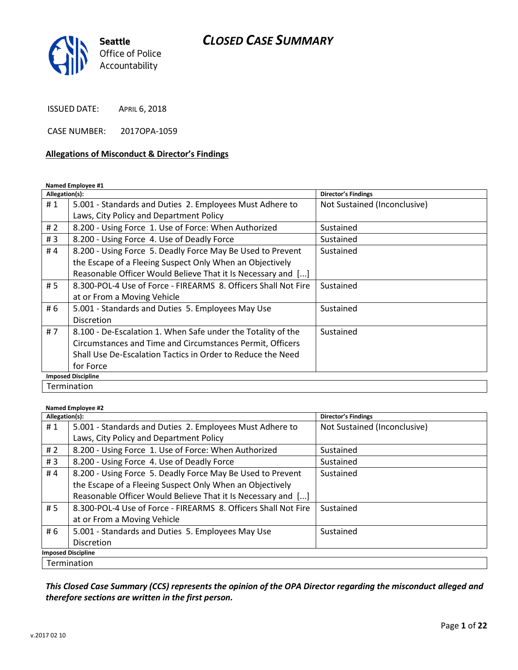

ISSUED DATE: APRIL 6, 2018

CASE NUMBER: 2017OPA-1059

#### **Allegations of Misconduct & Director's Findings**

**Named Employee #1**

| Allegation(s):            |                                                                | Director's Findings          |  |
|---------------------------|----------------------------------------------------------------|------------------------------|--|
| #1                        | 5.001 - Standards and Duties 2. Employees Must Adhere to       | Not Sustained (Inconclusive) |  |
|                           | Laws, City Policy and Department Policy                        |                              |  |
| # $2$                     | 8.200 - Using Force 1. Use of Force: When Authorized           | Sustained                    |  |
| #3                        | 8.200 - Using Force 4. Use of Deadly Force                     | Sustained                    |  |
| #4                        | 8.200 - Using Force 5. Deadly Force May Be Used to Prevent     | Sustained                    |  |
|                           | the Escape of a Fleeing Suspect Only When an Objectively       |                              |  |
|                           | Reasonable Officer Would Believe That it Is Necessary and []   |                              |  |
| #5                        | 8.300-POL-4 Use of Force - FIREARMS 8. Officers Shall Not Fire | Sustained                    |  |
|                           | at or From a Moving Vehicle                                    |                              |  |
| # 6                       | 5.001 - Standards and Duties 5. Employees May Use              | Sustained                    |  |
|                           | <b>Discretion</b>                                              |                              |  |
| #7                        | 8.100 - De-Escalation 1. When Safe under the Totality of the   | Sustained                    |  |
|                           | Circumstances and Time and Circumstances Permit, Officers      |                              |  |
|                           | Shall Use De-Escalation Tactics in Order to Reduce the Need    |                              |  |
|                           | for Force                                                      |                              |  |
| <b>Imposed Discipline</b> |                                                                |                              |  |
| <b>Termination</b>        |                                                                |                              |  |

**Named Employee #2**

| Allegation(s):            |                                                                | Director's Findings          |  |
|---------------------------|----------------------------------------------------------------|------------------------------|--|
| #1                        | 5.001 - Standards and Duties 2. Employees Must Adhere to       | Not Sustained (Inconclusive) |  |
|                           | Laws, City Policy and Department Policy                        |                              |  |
| # $2$                     | 8.200 - Using Force 1. Use of Force: When Authorized           | Sustained                    |  |
| #3                        | 8.200 - Using Force 4. Use of Deadly Force                     | Sustained                    |  |
| #4                        | 8.200 - Using Force 5. Deadly Force May Be Used to Prevent     | Sustained                    |  |
|                           | the Escape of a Fleeing Suspect Only When an Objectively       |                              |  |
|                           | Reasonable Officer Would Believe That it Is Necessary and []   |                              |  |
| # 5                       | 8.300-POL-4 Use of Force - FIREARMS 8. Officers Shall Not Fire | Sustained                    |  |
|                           | at or From a Moving Vehicle                                    |                              |  |
| # 6                       | 5.001 - Standards and Duties 5. Employees May Use              | Sustained                    |  |
|                           | Discretion                                                     |                              |  |
| <b>Imposed Discipline</b> |                                                                |                              |  |
| <b>Termination</b>        |                                                                |                              |  |

*This Closed Case Summary (CCS) represents the opinion of the OPA Director regarding the misconduct alleged and therefore sections are written in the first person.*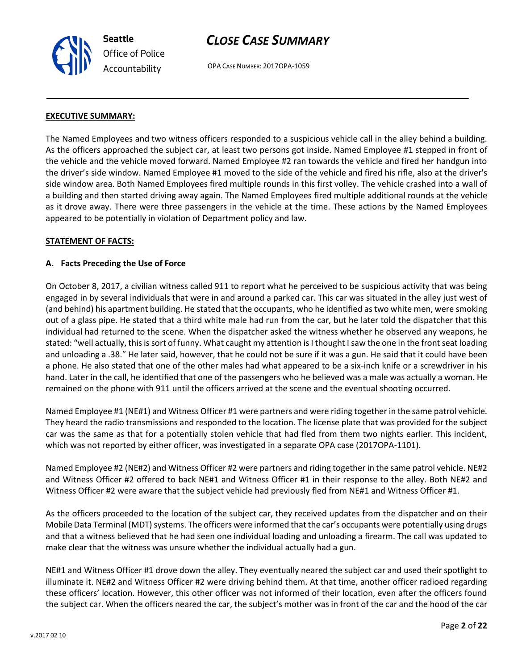

OPA CASE NUMBER: 2017OPA-1059

#### **EXECUTIVE SUMMARY:**

The Named Employees and two witness officers responded to a suspicious vehicle call in the alley behind a building. As the officers approached the subject car, at least two persons got inside. Named Employee #1 stepped in front of the vehicle and the vehicle moved forward. Named Employee #2 ran towards the vehicle and fired her handgun into the driver's side window. Named Employee #1 moved to the side of the vehicle and fired his rifle, also at the driver's side window area. Both Named Employees fired multiple rounds in this first volley. The vehicle crashed into a wall of a building and then started driving away again. The Named Employees fired multiple additional rounds at the vehicle as it drove away. There were three passengers in the vehicle at the time. These actions by the Named Employees appeared to be potentially in violation of Department policy and law.

#### **STATEMENT OF FACTS:**

#### **A. Facts Preceding the Use of Force**

On October 8, 2017, a civilian witness called 911 to report what he perceived to be suspicious activity that was being engaged in by several individuals that were in and around a parked car. This car was situated in the alley just west of (and behind) his apartment building. He stated that the occupants, who he identified as two white men, were smoking out of a glass pipe. He stated that a third white male had run from the car, but he later told the dispatcher that this individual had returned to the scene. When the dispatcher asked the witness whether he observed any weapons, he stated: "well actually, this is sort of funny. What caught my attention is I thought I saw the one in the front seat loading and unloading a .38." He later said, however, that he could not be sure if it was a gun. He said that it could have been a phone. He also stated that one of the other males had what appeared to be a six-inch knife or a screwdriver in his hand. Later in the call, he identified that one of the passengers who he believed was a male was actually a woman. He remained on the phone with 911 until the officers arrived at the scene and the eventual shooting occurred.

Named Employee #1 (NE#1) and Witness Officer #1 were partners and were riding together in the same patrol vehicle. They heard the radio transmissions and responded to the location. The license plate that was provided for the subject car was the same as that for a potentially stolen vehicle that had fled from them two nights earlier. This incident, which was not reported by either officer, was investigated in a separate OPA case (2017OPA-1101).

Named Employee #2 (NE#2) and Witness Officer #2 were partners and riding together in the same patrol vehicle. NE#2 and Witness Officer #2 offered to back NE#1 and Witness Officer #1 in their response to the alley. Both NE#2 and Witness Officer #2 were aware that the subject vehicle had previously fled from NE#1 and Witness Officer #1.

As the officers proceeded to the location of the subject car, they received updates from the dispatcher and on their Mobile Data Terminal (MDT) systems. The officers were informed that the car's occupants were potentially using drugs and that a witness believed that he had seen one individual loading and unloading a firearm. The call was updated to make clear that the witness was unsure whether the individual actually had a gun.

NE#1 and Witness Officer #1 drove down the alley. They eventually neared the subject car and used their spotlight to illuminate it. NE#2 and Witness Officer #2 were driving behind them. At that time, another officer radioed regarding these officers' location. However, this other officer was not informed of their location, even after the officers found the subject car. When the officers neared the car, the subject's mother was in front of the car and the hood of the car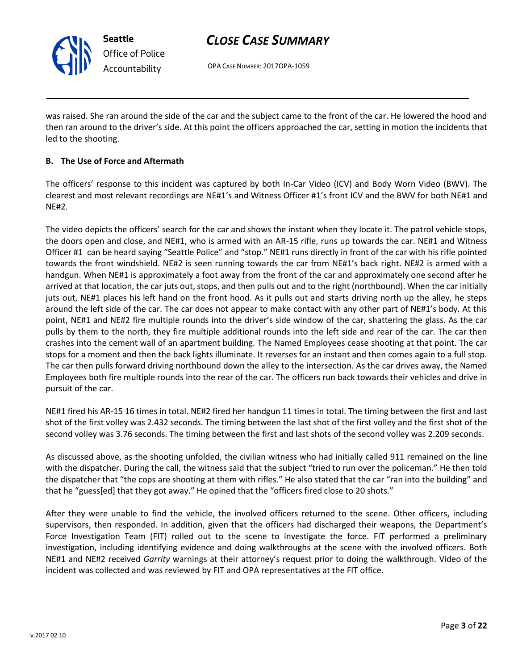

*Office of Police Accountability*

# *CLOSE CASE SUMMARY*

OPA CASE NUMBER: 2017OPA-1059

was raised. She ran around the side of the car and the subject came to the front of the car. He lowered the hood and then ran around to the driver's side. At this point the officers approached the car, setting in motion the incidents that led to the shooting.

### **B. The Use of Force and Aftermath**

The officers' response to this incident was captured by both In-Car Video (ICV) and Body Worn Video (BWV). The clearest and most relevant recordings are NE#1's and Witness Officer #1's front ICV and the BWV for both NE#1 and NE#2.

The video depicts the officers' search for the car and shows the instant when they locate it. The patrol vehicle stops, the doors open and close, and NE#1, who is armed with an AR-15 rifle, runs up towards the car. NE#1 and Witness Officer #1 can be heard saying "Seattle Police" and "stop." NE#1 runs directly in front of the car with his rifle pointed towards the front windshield. NE#2 is seen running towards the car from NE#1's back right. NE#2 is armed with a handgun. When NE#1 is approximately a foot away from the front of the car and approximately one second after he arrived at that location, the car juts out, stops, and then pulls out and to the right (northbound). When the car initially juts out, NE#1 places his left hand on the front hood. As it pulls out and starts driving north up the alley, he steps around the left side of the car. The car does not appear to make contact with any other part of NE#1's body. At this point, NE#1 and NE#2 fire multiple rounds into the driver's side window of the car, shattering the glass. As the car pulls by them to the north, they fire multiple additional rounds into the left side and rear of the car. The car then crashes into the cement wall of an apartment building. The Named Employees cease shooting at that point. The car stops for a moment and then the back lights illuminate. It reverses for an instant and then comes again to a full stop. The car then pulls forward driving northbound down the alley to the intersection. As the car drives away, the Named Employees both fire multiple rounds into the rear of the car. The officers run back towards their vehicles and drive in pursuit of the car.

NE#1 fired his AR-15 16 times in total. NE#2 fired her handgun 11 times in total. The timing between the first and last shot of the first volley was 2.432 seconds. The timing between the last shot of the first volley and the first shot of the second volley was 3.76 seconds. The timing between the first and last shots of the second volley was 2.209 seconds.

As discussed above, as the shooting unfolded, the civilian witness who had initially called 911 remained on the line with the dispatcher. During the call, the witness said that the subject "tried to run over the policeman." He then told the dispatcher that "the cops are shooting at them with rifles." He also stated that the car "ran into the building" and that he "guess[ed] that they got away." He opined that the "officers fired close to 20 shots."

After they were unable to find the vehicle, the involved officers returned to the scene. Other officers, including supervisors, then responded. In addition, given that the officers had discharged their weapons, the Department's Force Investigation Team (FIT) rolled out to the scene to investigate the force. FIT performed a preliminary investigation, including identifying evidence and doing walkthroughs at the scene with the involved officers. Both NE#1 and NE#2 received *Garrity* warnings at their attorney's request prior to doing the walkthrough. Video of the incident was collected and was reviewed by FIT and OPA representatives at the FIT office.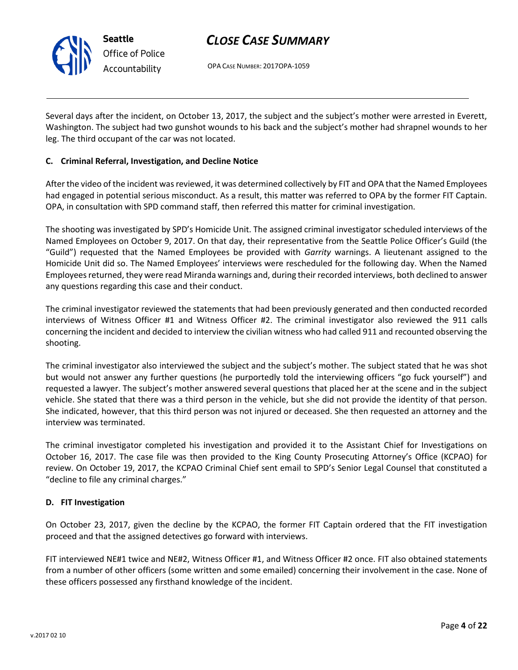

OPA CASE NUMBER: 2017OPA-1059

Several days after the incident, on October 13, 2017, the subject and the subject's mother were arrested in Everett, Washington. The subject had two gunshot wounds to his back and the subject's mother had shrapnel wounds to her leg. The third occupant of the car was not located.

#### **C. Criminal Referral, Investigation, and Decline Notice**

After the video of the incident was reviewed, it was determined collectively by FIT and OPA that the Named Employees had engaged in potential serious misconduct. As a result, this matter was referred to OPA by the former FIT Captain. OPA, in consultation with SPD command staff, then referred this matter for criminal investigation.

The shooting was investigated by SPD's Homicide Unit. The assigned criminal investigator scheduled interviews of the Named Employees on October 9, 2017. On that day, their representative from the Seattle Police Officer's Guild (the "Guild") requested that the Named Employees be provided with *Garrity* warnings. A lieutenant assigned to the Homicide Unit did so. The Named Employees' interviews were rescheduled for the following day. When the Named Employees returned, they were read Miranda warnings and, during their recorded interviews, both declined to answer any questions regarding this case and their conduct.

The criminal investigator reviewed the statements that had been previously generated and then conducted recorded interviews of Witness Officer #1 and Witness Officer #2. The criminal investigator also reviewed the 911 calls concerning the incident and decided to interview the civilian witness who had called 911 and recounted observing the shooting.

The criminal investigator also interviewed the subject and the subject's mother. The subject stated that he was shot but would not answer any further questions (he purportedly told the interviewing officers "go fuck yourself") and requested a lawyer. The subject's mother answered several questions that placed her at the scene and in the subject vehicle. She stated that there was a third person in the vehicle, but she did not provide the identity of that person. She indicated, however, that this third person was not injured or deceased. She then requested an attorney and the interview was terminated.

The criminal investigator completed his investigation and provided it to the Assistant Chief for Investigations on October 16, 2017. The case file was then provided to the King County Prosecuting Attorney's Office (KCPAO) for review. On October 19, 2017, the KCPAO Criminal Chief sent email to SPD's Senior Legal Counsel that constituted a "decline to file any criminal charges."

#### **D. FIT Investigation**

On October 23, 2017, given the decline by the KCPAO, the former FIT Captain ordered that the FIT investigation proceed and that the assigned detectives go forward with interviews.

FIT interviewed NE#1 twice and NE#2, Witness Officer #1, and Witness Officer #2 once. FIT also obtained statements from a number of other officers (some written and some emailed) concerning their involvement in the case. None of these officers possessed any firsthand knowledge of the incident.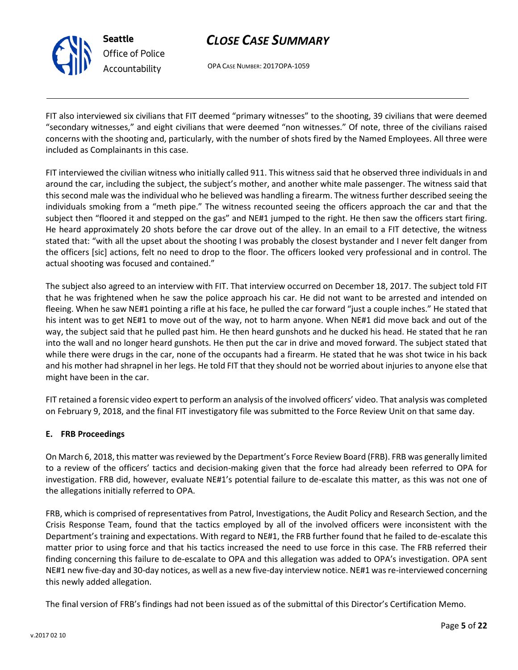

**Seattle** *Office of Police Accountability*

OPA CASE NUMBER: 2017OPA-1059

FIT also interviewed six civilians that FIT deemed "primary witnesses" to the shooting, 39 civilians that were deemed "secondary witnesses," and eight civilians that were deemed "non witnesses." Of note, three of the civilians raised concerns with the shooting and, particularly, with the number of shots fired by the Named Employees. All three were included as Complainants in this case.

FIT interviewed the civilian witness who initially called 911. This witness said that he observed three individuals in and around the car, including the subject, the subject's mother, and another white male passenger. The witness said that this second male was the individual who he believed was handling a firearm. The witness further described seeing the individuals smoking from a "meth pipe." The witness recounted seeing the officers approach the car and that the subject then "floored it and stepped on the gas" and NE#1 jumped to the right. He then saw the officers start firing. He heard approximately 20 shots before the car drove out of the alley. In an email to a FIT detective, the witness stated that: "with all the upset about the shooting I was probably the closest bystander and I never felt danger from the officers [sic] actions, felt no need to drop to the floor. The officers looked very professional and in control. The actual shooting was focused and contained."

The subject also agreed to an interview with FIT. That interview occurred on December 18, 2017. The subject told FIT that he was frightened when he saw the police approach his car. He did not want to be arrested and intended on fleeing. When he saw NE#1 pointing a rifle at his face, he pulled the car forward "just a couple inches." He stated that his intent was to get NE#1 to move out of the way, not to harm anyone. When NE#1 did move back and out of the way, the subject said that he pulled past him. He then heard gunshots and he ducked his head. He stated that he ran into the wall and no longer heard gunshots. He then put the car in drive and moved forward. The subject stated that while there were drugs in the car, none of the occupants had a firearm. He stated that he was shot twice in his back and his mother had shrapnel in her legs. He told FIT that they should not be worried about injuries to anyone else that might have been in the car.

FIT retained a forensic video expert to perform an analysis of the involved officers' video. That analysis was completed on February 9, 2018, and the final FIT investigatory file was submitted to the Force Review Unit on that same day.

## **E. FRB Proceedings**

On March 6, 2018, this matter was reviewed by the Department's Force Review Board (FRB). FRB was generally limited to a review of the officers' tactics and decision-making given that the force had already been referred to OPA for investigation. FRB did, however, evaluate NE#1's potential failure to de-escalate this matter, as this was not one of the allegations initially referred to OPA.

FRB, which is comprised of representatives from Patrol, Investigations, the Audit Policy and Research Section, and the Crisis Response Team, found that the tactics employed by all of the involved officers were inconsistent with the Department's training and expectations. With regard to NE#1, the FRB further found that he failed to de-escalate this matter prior to using force and that his tactics increased the need to use force in this case. The FRB referred their finding concerning this failure to de-escalate to OPA and this allegation was added to OPA's investigation. OPA sent NE#1 new five-day and 30-day notices, as well as a new five-day interview notice. NE#1 was re-interviewed concerning this newly added allegation.

The final version of FRB's findings had not been issued as of the submittal of this Director's Certification Memo.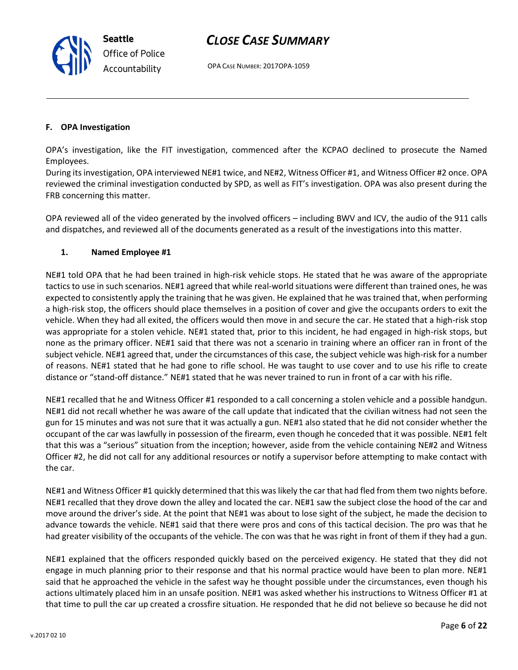OPA CASE NUMBER: 2017OPA-1059

#### **F. OPA Investigation**

OPA's investigation, like the FIT investigation, commenced after the KCPAO declined to prosecute the Named Employees.

During its investigation, OPA interviewed NE#1 twice, and NE#2, Witness Officer #1, and Witness Officer #2 once. OPA reviewed the criminal investigation conducted by SPD, as well as FIT's investigation. OPA was also present during the FRB concerning this matter.

OPA reviewed all of the video generated by the involved officers – including BWV and ICV, the audio of the 911 calls and dispatches, and reviewed all of the documents generated as a result of the investigations into this matter.

#### **1. Named Employee #1**

NE#1 told OPA that he had been trained in high-risk vehicle stops. He stated that he was aware of the appropriate tactics to use in such scenarios. NE#1 agreed that while real-world situations were different than trained ones, he was expected to consistently apply the training that he was given. He explained that he was trained that, when performing a high-risk stop, the officers should place themselves in a position of cover and give the occupants orders to exit the vehicle. When they had all exited, the officers would then move in and secure the car. He stated that a high-risk stop was appropriate for a stolen vehicle. NE#1 stated that, prior to this incident, he had engaged in high-risk stops, but none as the primary officer. NE#1 said that there was not a scenario in training where an officer ran in front of the subject vehicle. NE#1 agreed that, under the circumstances of this case, the subject vehicle was high-risk for a number of reasons. NE#1 stated that he had gone to rifle school. He was taught to use cover and to use his rifle to create distance or "stand-off distance." NE#1 stated that he was never trained to run in front of a car with his rifle.

NE#1 recalled that he and Witness Officer #1 responded to a call concerning a stolen vehicle and a possible handgun. NE#1 did not recall whether he was aware of the call update that indicated that the civilian witness had not seen the gun for 15 minutes and was not sure that it was actually a gun. NE#1 also stated that he did not consider whether the occupant of the car was lawfully in possession of the firearm, even though he conceded that it was possible. NE#1 felt that this was a "serious" situation from the inception; however, aside from the vehicle containing NE#2 and Witness Officer #2, he did not call for any additional resources or notify a supervisor before attempting to make contact with the car.

NE#1 and Witness Officer #1 quickly determined that this was likely the car that had fled from them two nights before. NE#1 recalled that they drove down the alley and located the car. NE#1 saw the subject close the hood of the car and move around the driver's side. At the point that NE#1 was about to lose sight of the subject, he made the decision to advance towards the vehicle. NE#1 said that there were pros and cons of this tactical decision. The pro was that he had greater visibility of the occupants of the vehicle. The con was that he was right in front of them if they had a gun.

NE#1 explained that the officers responded quickly based on the perceived exigency. He stated that they did not engage in much planning prior to their response and that his normal practice would have been to plan more. NE#1 said that he approached the vehicle in the safest way he thought possible under the circumstances, even though his actions ultimately placed him in an unsafe position. NE#1 was asked whether his instructions to Witness Officer #1 at that time to pull the car up created a crossfire situation. He responded that he did not believe so because he did not



**Seattle** *Office of Police Accountability*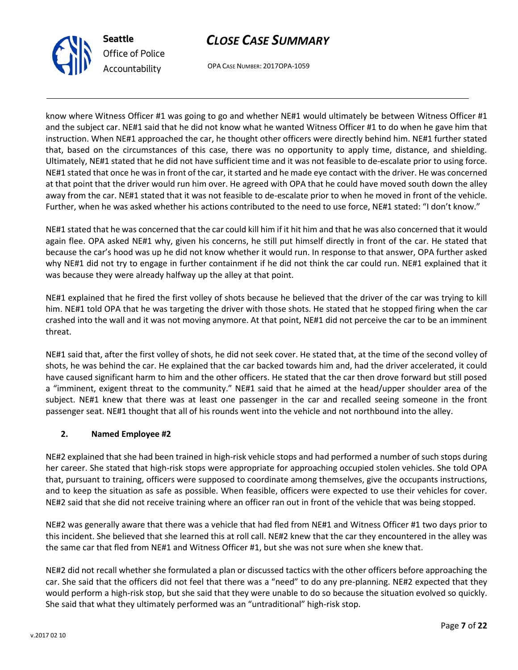



OPA CASE NUMBER: 2017OPA-1059

know where Witness Officer #1 was going to go and whether NE#1 would ultimately be between Witness Officer #1 and the subject car. NE#1 said that he did not know what he wanted Witness Officer #1 to do when he gave him that instruction. When NE#1 approached the car, he thought other officers were directly behind him. NE#1 further stated that, based on the circumstances of this case, there was no opportunity to apply time, distance, and shielding. Ultimately, NE#1 stated that he did not have sufficient time and it was not feasible to de-escalate prior to using force. NE#1 stated that once he was in front of the car, it started and he made eye contact with the driver. He was concerned at that point that the driver would run him over. He agreed with OPA that he could have moved south down the alley away from the car. NE#1 stated that it was not feasible to de-escalate prior to when he moved in front of the vehicle. Further, when he was asked whether his actions contributed to the need to use force, NE#1 stated: "I don't know."

NE#1 stated that he was concerned that the car could kill him if it hit him and that he was also concerned that it would again flee. OPA asked NE#1 why, given his concerns, he still put himself directly in front of the car. He stated that because the car's hood was up he did not know whether it would run. In response to that answer, OPA further asked why NE#1 did not try to engage in further containment if he did not think the car could run. NE#1 explained that it was because they were already halfway up the alley at that point.

NE#1 explained that he fired the first volley of shots because he believed that the driver of the car was trying to kill him. NE#1 told OPA that he was targeting the driver with those shots. He stated that he stopped firing when the car crashed into the wall and it was not moving anymore. At that point, NE#1 did not perceive the car to be an imminent threat.

NE#1 said that, after the first volley of shots, he did not seek cover. He stated that, at the time of the second volley of shots, he was behind the car. He explained that the car backed towards him and, had the driver accelerated, it could have caused significant harm to him and the other officers. He stated that the car then drove forward but still posed a "imminent, exigent threat to the community." NE#1 said that he aimed at the head/upper shoulder area of the subject. NE#1 knew that there was at least one passenger in the car and recalled seeing someone in the front passenger seat. NE#1 thought that all of his rounds went into the vehicle and not northbound into the alley.

#### **2. Named Employee #2**

NE#2 explained that she had been trained in high-risk vehicle stops and had performed a number of such stops during her career. She stated that high-risk stops were appropriate for approaching occupied stolen vehicles. She told OPA that, pursuant to training, officers were supposed to coordinate among themselves, give the occupants instructions, and to keep the situation as safe as possible. When feasible, officers were expected to use their vehicles for cover. NE#2 said that she did not receive training where an officer ran out in front of the vehicle that was being stopped.

NE#2 was generally aware that there was a vehicle that had fled from NE#1 and Witness Officer #1 two days prior to this incident. She believed that she learned this at roll call. NE#2 knew that the car they encountered in the alley was the same car that fled from NE#1 and Witness Officer #1, but she was not sure when she knew that.

NE#2 did not recall whether she formulated a plan or discussed tactics with the other officers before approaching the car. She said that the officers did not feel that there was a "need" to do any pre-planning. NE#2 expected that they would perform a high-risk stop, but she said that they were unable to do so because the situation evolved so quickly. She said that what they ultimately performed was an "untraditional" high-risk stop.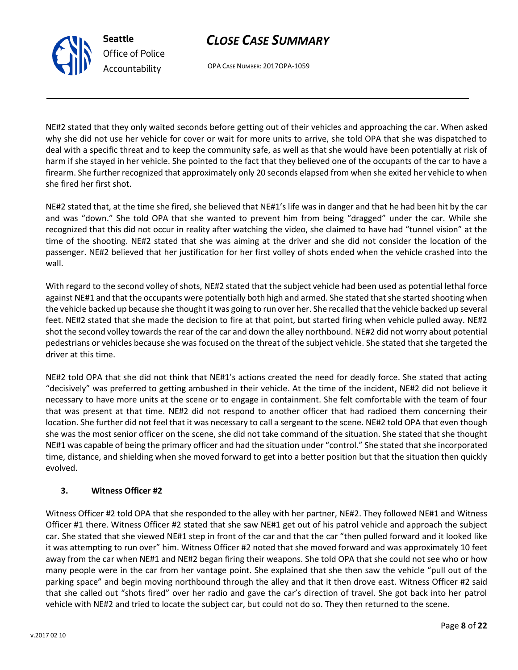OPA CASE NUMBER: 2017OPA-1059

NE#2 stated that they only waited seconds before getting out of their vehicles and approaching the car. When asked why she did not use her vehicle for cover or wait for more units to arrive, she told OPA that she was dispatched to deal with a specific threat and to keep the community safe, as well as that she would have been potentially at risk of harm if she stayed in her vehicle. She pointed to the fact that they believed one of the occupants of the car to have a firearm. She further recognized that approximately only 20 seconds elapsed from when she exited her vehicle to when she fired her first shot.

NE#2 stated that, at the time she fired, she believed that NE#1's life was in danger and that he had been hit by the car and was "down." She told OPA that she wanted to prevent him from being "dragged" under the car. While she recognized that this did not occur in reality after watching the video, she claimed to have had "tunnel vision" at the time of the shooting. NE#2 stated that she was aiming at the driver and she did not consider the location of the passenger. NE#2 believed that her justification for her first volley of shots ended when the vehicle crashed into the wall.

With regard to the second volley of shots, NE#2 stated that the subject vehicle had been used as potential lethal force against NE#1 and that the occupants were potentially both high and armed. She stated that she started shooting when the vehicle backed up because she thought it was going to run over her. She recalled that the vehicle backed up several feet. NE#2 stated that she made the decision to fire at that point, but started firing when vehicle pulled away. NE#2 shot the second volley towards the rear of the car and down the alley northbound. NE#2 did not worry about potential pedestrians or vehicles because she was focused on the threat of the subject vehicle. She stated that she targeted the driver at this time.

NE#2 told OPA that she did not think that NE#1's actions created the need for deadly force. She stated that acting "decisively" was preferred to getting ambushed in their vehicle. At the time of the incident, NE#2 did not believe it necessary to have more units at the scene or to engage in containment. She felt comfortable with the team of four that was present at that time. NE#2 did not respond to another officer that had radioed them concerning their location. She further did not feel that it was necessary to call a sergeant to the scene. NE#2 told OPA that even though she was the most senior officer on the scene, she did not take command of the situation. She stated that she thought NE#1 was capable of being the primary officer and had the situation under "control." She stated that she incorporated time, distance, and shielding when she moved forward to get into a better position but that the situation then quickly evolved.

## **3. Witness Officer #2**

Witness Officer #2 told OPA that she responded to the alley with her partner, NE#2. They followed NE#1 and Witness Officer #1 there. Witness Officer #2 stated that she saw NE#1 get out of his patrol vehicle and approach the subject car. She stated that she viewed NE#1 step in front of the car and that the car "then pulled forward and it looked like it was attempting to run over" him. Witness Officer #2 noted that she moved forward and was approximately 10 feet away from the car when NE#1 and NE#2 began firing their weapons. She told OPA that she could not see who or how many people were in the car from her vantage point. She explained that she then saw the vehicle "pull out of the parking space" and begin moving northbound through the alley and that it then drove east. Witness Officer #2 said that she called out "shots fired" over her radio and gave the car's direction of travel. She got back into her patrol vehicle with NE#2 and tried to locate the subject car, but could not do so. They then returned to the scene.



**Seattle**

*Office of Police Accountability*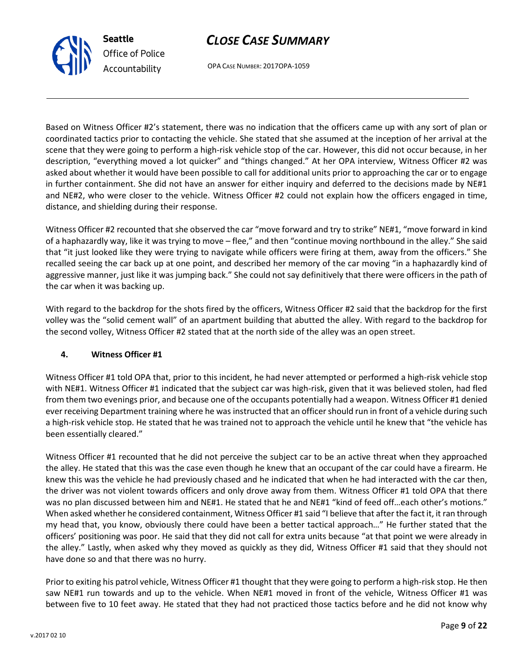OPA CASE NUMBER: 2017OPA-1059

Based on Witness Officer #2's statement, there was no indication that the officers came up with any sort of plan or coordinated tactics prior to contacting the vehicle. She stated that she assumed at the inception of her arrival at the scene that they were going to perform a high-risk vehicle stop of the car. However, this did not occur because, in her description, "everything moved a lot quicker" and "things changed." At her OPA interview, Witness Officer #2 was asked about whether it would have been possible to call for additional units prior to approaching the car or to engage in further containment. She did not have an answer for either inquiry and deferred to the decisions made by NE#1 and NE#2, who were closer to the vehicle. Witness Officer #2 could not explain how the officers engaged in time, distance, and shielding during their response.

Witness Officer #2 recounted that she observed the car "move forward and try to strike" NE#1, "move forward in kind of a haphazardly way, like it was trying to move – flee," and then "continue moving northbound in the alley." She said that "it just looked like they were trying to navigate while officers were firing at them, away from the officers." She recalled seeing the car back up at one point, and described her memory of the car moving "in a haphazardly kind of aggressive manner, just like it was jumping back." She could not say definitively that there were officers in the path of the car when it was backing up.

With regard to the backdrop for the shots fired by the officers, Witness Officer #2 said that the backdrop for the first volley was the "solid cement wall" of an apartment building that abutted the alley. With regard to the backdrop for the second volley, Witness Officer #2 stated that at the north side of the alley was an open street.

## **4. Witness Officer #1**

Witness Officer #1 told OPA that, prior to this incident, he had never attempted or performed a high-risk vehicle stop with NE#1. Witness Officer #1 indicated that the subject car was high-risk, given that it was believed stolen, had fled from them two evenings prior, and because one of the occupants potentially had a weapon. Witness Officer #1 denied ever receiving Department training where he was instructed that an officer should run in front of a vehicle during such a high-risk vehicle stop. He stated that he was trained not to approach the vehicle until he knew that "the vehicle has been essentially cleared."

Witness Officer #1 recounted that he did not perceive the subject car to be an active threat when they approached the alley. He stated that this was the case even though he knew that an occupant of the car could have a firearm. He knew this was the vehicle he had previously chased and he indicated that when he had interacted with the car then, the driver was not violent towards officers and only drove away from them. Witness Officer #1 told OPA that there was no plan discussed between him and NE#1. He stated that he and NE#1 "kind of feed off…each other's motions." When asked whether he considered containment, Witness Officer #1 said "I believe that after the fact it, it ran through my head that, you know, obviously there could have been a better tactical approach…" He further stated that the officers' positioning was poor. He said that they did not call for extra units because "at that point we were already in the alley." Lastly, when asked why they moved as quickly as they did, Witness Officer #1 said that they should not have done so and that there was no hurry.

Prior to exiting his patrol vehicle, Witness Officer #1 thought that they were going to perform a high-risk stop. He then saw NE#1 run towards and up to the vehicle. When NE#1 moved in front of the vehicle, Witness Officer #1 was between five to 10 feet away. He stated that they had not practiced those tactics before and he did not know why



**Seattle**

*Office of Police Accountability*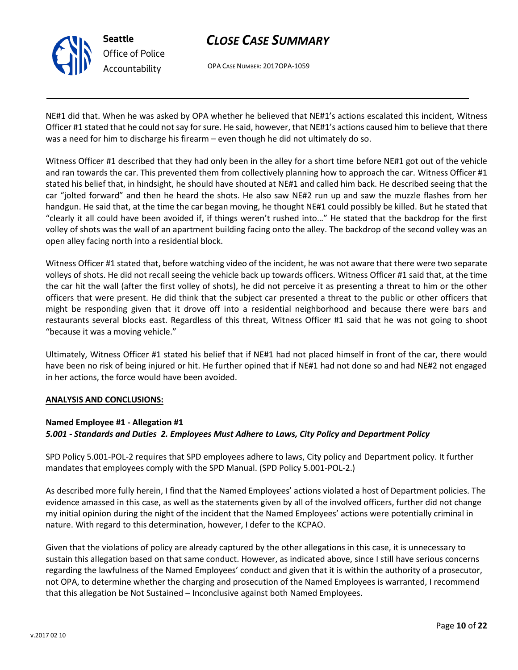

OPA CASE NUMBER: 2017OPA-1059

NE#1 did that. When he was asked by OPA whether he believed that NE#1's actions escalated this incident, Witness Officer #1 stated that he could not say for sure. He said, however, that NE#1's actions caused him to believe that there was a need for him to discharge his firearm – even though he did not ultimately do so.

Witness Officer #1 described that they had only been in the alley for a short time before NE#1 got out of the vehicle and ran towards the car. This prevented them from collectively planning how to approach the car. Witness Officer #1 stated his belief that, in hindsight, he should have shouted at NE#1 and called him back. He described seeing that the car "jolted forward" and then he heard the shots. He also saw NE#2 run up and saw the muzzle flashes from her handgun. He said that, at the time the car began moving, he thought NE#1 could possibly be killed. But he stated that "clearly it all could have been avoided if, if things weren't rushed into…" He stated that the backdrop for the first volley of shots was the wall of an apartment building facing onto the alley. The backdrop of the second volley was an open alley facing north into a residential block.

Witness Officer #1 stated that, before watching video of the incident, he was not aware that there were two separate volleys of shots. He did not recall seeing the vehicle back up towards officers. Witness Officer #1 said that, at the time the car hit the wall (after the first volley of shots), he did not perceive it as presenting a threat to him or the other officers that were present. He did think that the subject car presented a threat to the public or other officers that might be responding given that it drove off into a residential neighborhood and because there were bars and restaurants several blocks east. Regardless of this threat, Witness Officer #1 said that he was not going to shoot "because it was a moving vehicle."

Ultimately, Witness Officer #1 stated his belief that if NE#1 had not placed himself in front of the car, there would have been no risk of being injured or hit. He further opined that if NE#1 had not done so and had NE#2 not engaged in her actions, the force would have been avoided.

#### **ANALYSIS AND CONCLUSIONS:**

#### **Named Employee #1 - Allegation #1**

#### *5.001 - Standards and Duties 2. Employees Must Adhere to Laws, City Policy and Department Policy*

SPD Policy 5.001-POL-2 requires that SPD employees adhere to laws, City policy and Department policy. It further mandates that employees comply with the SPD Manual. (SPD Policy 5.001-POL-2.)

As described more fully herein, I find that the Named Employees' actions violated a host of Department policies. The evidence amassed in this case, as well as the statements given by all of the involved officers, further did not change my initial opinion during the night of the incident that the Named Employees' actions were potentially criminal in nature. With regard to this determination, however, I defer to the KCPAO.

Given that the violations of policy are already captured by the other allegations in this case, it is unnecessary to sustain this allegation based on that same conduct. However, as indicated above, since I still have serious concerns regarding the lawfulness of the Named Employees' conduct and given that it is within the authority of a prosecutor, not OPA, to determine whether the charging and prosecution of the Named Employees is warranted, I recommend that this allegation be Not Sustained – Inconclusive against both Named Employees.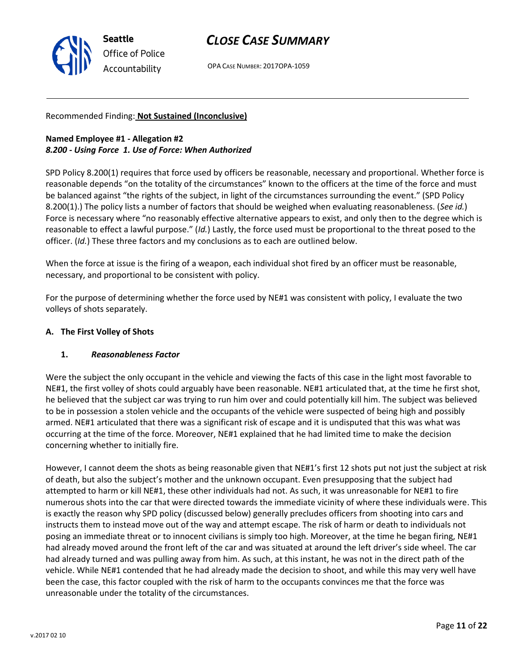

OPA CASE NUMBER: 2017OPA-1059

#### Recommended Finding: **Not Sustained (Inconclusive)**

### **Named Employee #1 - Allegation #2** *8.200 - Using Force 1. Use of Force: When Authorized*

SPD Policy 8.200(1) requires that force used by officers be reasonable, necessary and proportional. Whether force is reasonable depends "on the totality of the circumstances" known to the officers at the time of the force and must be balanced against "the rights of the subject, in light of the circumstances surrounding the event." (SPD Policy 8.200(1).) The policy lists a number of factors that should be weighed when evaluating reasonableness. (*See id.*) Force is necessary where "no reasonably effective alternative appears to exist, and only then to the degree which is reasonable to effect a lawful purpose." (*Id.*) Lastly, the force used must be proportional to the threat posed to the officer. (*Id.*) These three factors and my conclusions as to each are outlined below.

When the force at issue is the firing of a weapon, each individual shot fired by an officer must be reasonable, necessary, and proportional to be consistent with policy.

For the purpose of determining whether the force used by NE#1 was consistent with policy, I evaluate the two volleys of shots separately.

#### **A. The First Volley of Shots**

#### **1.** *Reasonableness Factor*

Were the subject the only occupant in the vehicle and viewing the facts of this case in the light most favorable to NE#1, the first volley of shots could arguably have been reasonable. NE#1 articulated that, at the time he first shot, he believed that the subject car was trying to run him over and could potentially kill him. The subject was believed to be in possession a stolen vehicle and the occupants of the vehicle were suspected of being high and possibly armed. NE#1 articulated that there was a significant risk of escape and it is undisputed that this was what was occurring at the time of the force. Moreover, NE#1 explained that he had limited time to make the decision concerning whether to initially fire.

However, I cannot deem the shots as being reasonable given that NE#1's first 12 shots put not just the subject at risk of death, but also the subject's mother and the unknown occupant. Even presupposing that the subject had attempted to harm or kill NE#1, these other individuals had not. As such, it was unreasonable for NE#1 to fire numerous shots into the car that were directed towards the immediate vicinity of where these individuals were. This is exactly the reason why SPD policy (discussed below) generally precludes officers from shooting into cars and instructs them to instead move out of the way and attempt escape. The risk of harm or death to individuals not posing an immediate threat or to innocent civilians is simply too high. Moreover, at the time he began firing, NE#1 had already moved around the front left of the car and was situated at around the left driver's side wheel. The car had already turned and was pulling away from him. As such, at this instant, he was not in the direct path of the vehicle. While NE#1 contended that he had already made the decision to shoot, and while this may very well have been the case, this factor coupled with the risk of harm to the occupants convinces me that the force was unreasonable under the totality of the circumstances.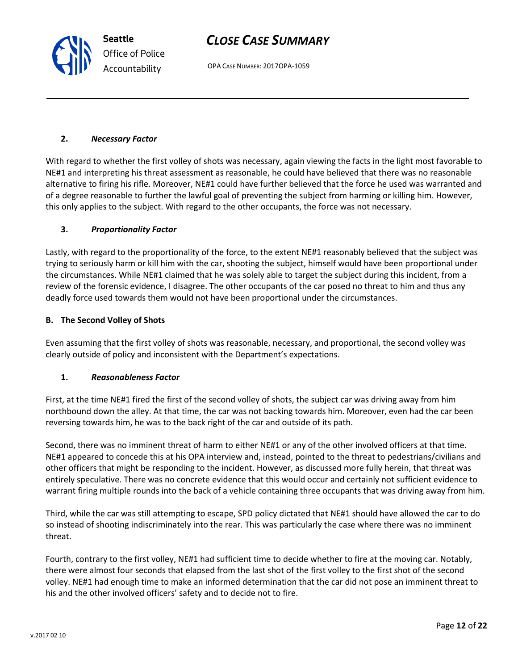OPA CASE NUMBER: 2017OPA-1059

# **2.** *Necessary Factor*

With regard to whether the first volley of shots was necessary, again viewing the facts in the light most favorable to NE#1 and interpreting his threat assessment as reasonable, he could have believed that there was no reasonable alternative to firing his rifle. Moreover, NE#1 could have further believed that the force he used was warranted and of a degree reasonable to further the lawful goal of preventing the subject from harming or killing him. However, this only applies to the subject. With regard to the other occupants, the force was not necessary.

# **3.** *Proportionality Factor*

Lastly, with regard to the proportionality of the force, to the extent NE#1 reasonably believed that the subject was trying to seriously harm or kill him with the car, shooting the subject, himself would have been proportional under the circumstances. While NE#1 claimed that he was solely able to target the subject during this incident, from a review of the forensic evidence, I disagree. The other occupants of the car posed no threat to him and thus any deadly force used towards them would not have been proportional under the circumstances.

# **B. The Second Volley of Shots**

Even assuming that the first volley of shots was reasonable, necessary, and proportional, the second volley was clearly outside of policy and inconsistent with the Department's expectations.

## **1.** *Reasonableness Factor*

First, at the time NE#1 fired the first of the second volley of shots, the subject car was driving away from him northbound down the alley. At that time, the car was not backing towards him. Moreover, even had the car been reversing towards him, he was to the back right of the car and outside of its path.

Second, there was no imminent threat of harm to either NE#1 or any of the other involved officers at that time. NE#1 appeared to concede this at his OPA interview and, instead, pointed to the threat to pedestrians/civilians and other officers that might be responding to the incident. However, as discussed more fully herein, that threat was entirely speculative. There was no concrete evidence that this would occur and certainly not sufficient evidence to warrant firing multiple rounds into the back of a vehicle containing three occupants that was driving away from him.

Third, while the car was still attempting to escape, SPD policy dictated that NE#1 should have allowed the car to do so instead of shooting indiscriminately into the rear. This was particularly the case where there was no imminent threat.

Fourth, contrary to the first volley, NE#1 had sufficient time to decide whether to fire at the moving car. Notably, there were almost four seconds that elapsed from the last shot of the first volley to the first shot of the second volley. NE#1 had enough time to make an informed determination that the car did not pose an imminent threat to his and the other involved officers' safety and to decide not to fire.



**Seattle** *Office of Police Accountability*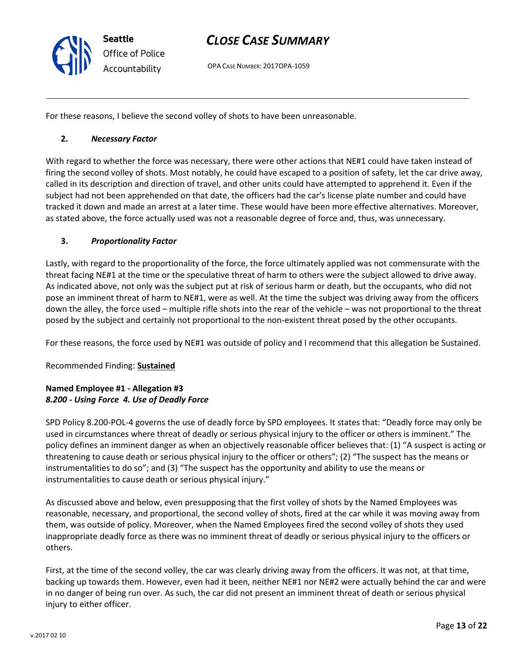

OPA CASE NUMBER: 2017OPA-1059

For these reasons, I believe the second volley of shots to have been unreasonable.

#### **2.** *Necessary Factor*

With regard to whether the force was necessary, there were other actions that NE#1 could have taken instead of firing the second volley of shots. Most notably, he could have escaped to a position of safety, let the car drive away, called in its description and direction of travel, and other units could have attempted to apprehend it. Even if the subject had not been apprehended on that date, the officers had the car's license plate number and could have tracked it down and made an arrest at a later time. These would have been more effective alternatives. Moreover, as stated above, the force actually used was not a reasonable degree of force and, thus, was unnecessary.

#### **3.** *Proportionality Factor*

Lastly, with regard to the proportionality of the force, the force ultimately applied was not commensurate with the threat facing NE#1 at the time or the speculative threat of harm to others were the subject allowed to drive away. As indicated above, not only was the subject put at risk of serious harm or death, but the occupants, who did not pose an imminent threat of harm to NE#1, were as well. At the time the subject was driving away from the officers down the alley, the force used – multiple rifle shots into the rear of the vehicle – was not proportional to the threat posed by the subject and certainly not proportional to the non-existent threat posed by the other occupants.

For these reasons, the force used by NE#1 was outside of policy and I recommend that this allegation be Sustained.

### Recommended Finding: **Sustained**

#### **Named Employee #1 - Allegation #3** *8.200 - Using Force 4. Use of Deadly Force*

SPD Policy 8.200-POL-4 governs the use of deadly force by SPD employees. It states that: "Deadly force may only be used in circumstances where threat of deadly or serious physical injury to the officer or others is imminent." The policy defines an imminent danger as when an objectively reasonable officer believes that: (1) "A suspect is acting or threatening to cause death or serious physical injury to the officer or others"; (2) "The suspect has the means or instrumentalities to do so"; and (3) "The suspect has the opportunity and ability to use the means or instrumentalities to cause death or serious physical injury."

As discussed above and below, even presupposing that the first volley of shots by the Named Employees was reasonable, necessary, and proportional, the second volley of shots, fired at the car while it was moving away from them, was outside of policy. Moreover, when the Named Employees fired the second volley of shots they used inappropriate deadly force as there was no imminent threat of deadly or serious physical injury to the officers or others.

First, at the time of the second volley, the car was clearly driving away from the officers. It was not, at that time, backing up towards them. However, even had it been, neither NE#1 nor NE#2 were actually behind the car and were in no danger of being run over. As such, the car did not present an imminent threat of death or serious physical injury to either officer.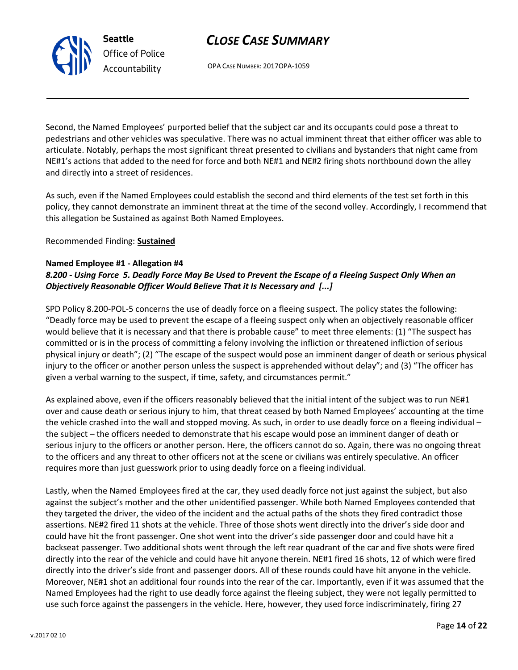OPA CASE NUMBER: 2017OPA-1059

Second, the Named Employees' purported belief that the subject car and its occupants could pose a threat to pedestrians and other vehicles was speculative. There was no actual imminent threat that either officer was able to articulate. Notably, perhaps the most significant threat presented to civilians and bystanders that night came from NE#1's actions that added to the need for force and both NE#1 and NE#2 firing shots northbound down the alley and directly into a street of residences.

As such, even if the Named Employees could establish the second and third elements of the test set forth in this policy, they cannot demonstrate an imminent threat at the time of the second volley. Accordingly, I recommend that this allegation be Sustained as against Both Named Employees.

Recommended Finding: **Sustained**

#### **Named Employee #1 - Allegation #4**

### *8.200 - Using Force 5. Deadly Force May Be Used to Prevent the Escape of a Fleeing Suspect Only When an Objectively Reasonable Officer Would Believe That it Is Necessary and [...]*

SPD Policy 8.200-POL-5 concerns the use of deadly force on a fleeing suspect. The policy states the following: "Deadly force may be used to prevent the escape of a fleeing suspect only when an objectively reasonable officer would believe that it is necessary and that there is probable cause" to meet three elements: (1) "The suspect has committed or is in the process of committing a felony involving the infliction or threatened infliction of serious physical injury or death"; (2) "The escape of the suspect would pose an imminent danger of death or serious physical injury to the officer or another person unless the suspect is apprehended without delay"; and (3) "The officer has given a verbal warning to the suspect, if time, safety, and circumstances permit."

As explained above, even if the officers reasonably believed that the initial intent of the subject was to run NE#1 over and cause death or serious injury to him, that threat ceased by both Named Employees' accounting at the time the vehicle crashed into the wall and stopped moving. As such, in order to use deadly force on a fleeing individual – the subject – the officers needed to demonstrate that his escape would pose an imminent danger of death or serious injury to the officers or another person. Here, the officers cannot do so. Again, there was no ongoing threat to the officers and any threat to other officers not at the scene or civilians was entirely speculative. An officer requires more than just guesswork prior to using deadly force on a fleeing individual.

Lastly, when the Named Employees fired at the car, they used deadly force not just against the subject, but also against the subject's mother and the other unidentified passenger. While both Named Employees contended that they targeted the driver, the video of the incident and the actual paths of the shots they fired contradict those assertions. NE#2 fired 11 shots at the vehicle. Three of those shots went directly into the driver's side door and could have hit the front passenger. One shot went into the driver's side passenger door and could have hit a backseat passenger. Two additional shots went through the left rear quadrant of the car and five shots were fired directly into the rear of the vehicle and could have hit anyone therein. NE#1 fired 16 shots, 12 of which were fired directly into the driver's side front and passenger doors. All of these rounds could have hit anyone in the vehicle. Moreover, NE#1 shot an additional four rounds into the rear of the car. Importantly, even if it was assumed that the Named Employees had the right to use deadly force against the fleeing subject, they were not legally permitted to use such force against the passengers in the vehicle. Here, however, they used force indiscriminately, firing 27



**Seattle** *Office of Police Accountability*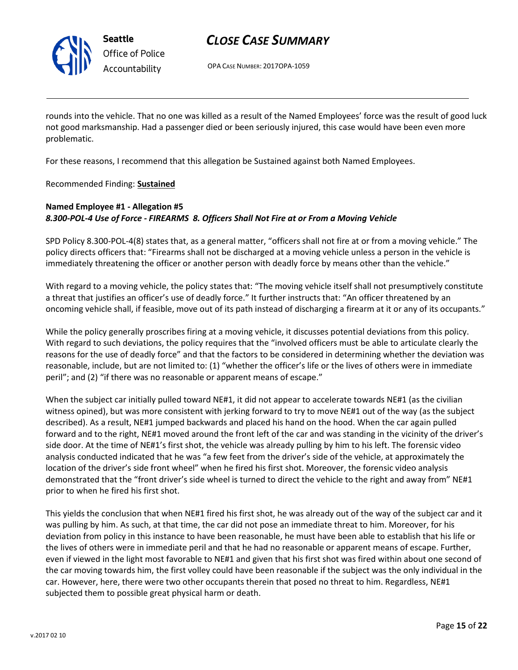

OPA CASE NUMBER: 2017OPA-1059

rounds into the vehicle. That no one was killed as a result of the Named Employees' force was the result of good luck not good marksmanship. Had a passenger died or been seriously injured, this case would have been even more problematic.

For these reasons, I recommend that this allegation be Sustained against both Named Employees.

Recommended Finding: **Sustained**

### **Named Employee #1 - Allegation #5** *8.300-POL-4 Use of Force - FIREARMS 8. Officers Shall Not Fire at or From a Moving Vehicle*

SPD Policy 8.300-POL-4(8) states that, as a general matter, "officers shall not fire at or from a moving vehicle." The policy directs officers that: "Firearms shall not be discharged at a moving vehicle unless a person in the vehicle is immediately threatening the officer or another person with deadly force by means other than the vehicle."

With regard to a moving vehicle, the policy states that: "The moving vehicle itself shall not presumptively constitute a threat that justifies an officer's use of deadly force." It further instructs that: "An officer threatened by an oncoming vehicle shall, if feasible, move out of its path instead of discharging a firearm at it or any of its occupants."

While the policy generally proscribes firing at a moving vehicle, it discusses potential deviations from this policy. With regard to such deviations, the policy requires that the "involved officers must be able to articulate clearly the reasons for the use of deadly force" and that the factors to be considered in determining whether the deviation was reasonable, include, but are not limited to: (1) "whether the officer's life or the lives of others were in immediate peril"; and (2) "if there was no reasonable or apparent means of escape."

When the subject car initially pulled toward NE#1, it did not appear to accelerate towards NE#1 (as the civilian witness opined), but was more consistent with jerking forward to try to move NE#1 out of the way (as the subject described). As a result, NE#1 jumped backwards and placed his hand on the hood. When the car again pulled forward and to the right, NE#1 moved around the front left of the car and was standing in the vicinity of the driver's side door. At the time of NE#1's first shot, the vehicle was already pulling by him to his left. The forensic video analysis conducted indicated that he was "a few feet from the driver's side of the vehicle, at approximately the location of the driver's side front wheel" when he fired his first shot. Moreover, the forensic video analysis demonstrated that the "front driver's side wheel is turned to direct the vehicle to the right and away from" NE#1 prior to when he fired his first shot.

This yields the conclusion that when NE#1 fired his first shot, he was already out of the way of the subject car and it was pulling by him. As such, at that time, the car did not pose an immediate threat to him. Moreover, for his deviation from policy in this instance to have been reasonable, he must have been able to establish that his life or the lives of others were in immediate peril and that he had no reasonable or apparent means of escape. Further, even if viewed in the light most favorable to NE#1 and given that his first shot was fired within about one second of the car moving towards him, the first volley could have been reasonable if the subject was the only individual in the car. However, here, there were two other occupants therein that posed no threat to him. Regardless, NE#1 subjected them to possible great physical harm or death.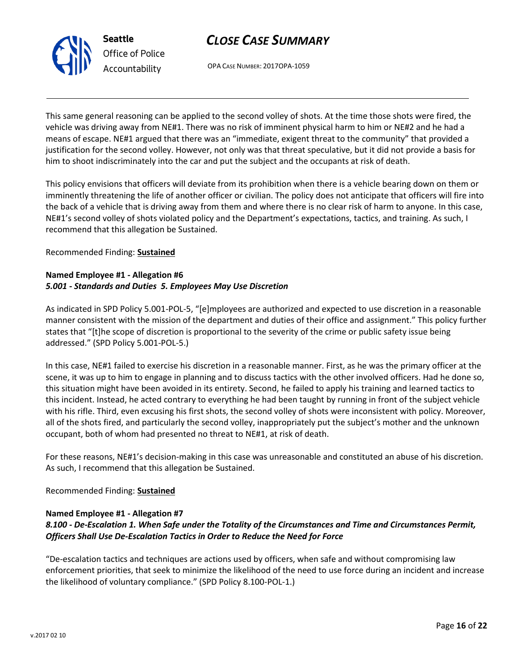

OPA CASE NUMBER: 2017OPA-1059

This same general reasoning can be applied to the second volley of shots. At the time those shots were fired, the vehicle was driving away from NE#1. There was no risk of imminent physical harm to him or NE#2 and he had a means of escape. NE#1 argued that there was an "immediate, exigent threat to the community" that provided a justification for the second volley. However, not only was that threat speculative, but it did not provide a basis for him to shoot indiscriminately into the car and put the subject and the occupants at risk of death.

This policy envisions that officers will deviate from its prohibition when there is a vehicle bearing down on them or imminently threatening the life of another officer or civilian. The policy does not anticipate that officers will fire into the back of a vehicle that is driving away from them and where there is no clear risk of harm to anyone. In this case, NE#1's second volley of shots violated policy and the Department's expectations, tactics, and training. As such, I recommend that this allegation be Sustained.

Recommended Finding: **Sustained**

#### **Named Employee #1 - Allegation #6** *5.001 - Standards and Duties 5. Employees May Use Discretion*

As indicated in SPD Policy 5.001-POL-5, "[e]mployees are authorized and expected to use discretion in a reasonable manner consistent with the mission of the department and duties of their office and assignment." This policy further states that "[t]he scope of discretion is proportional to the severity of the crime or public safety issue being addressed." (SPD Policy 5.001-POL-5.)

In this case, NE#1 failed to exercise his discretion in a reasonable manner. First, as he was the primary officer at the scene, it was up to him to engage in planning and to discuss tactics with the other involved officers. Had he done so, this situation might have been avoided in its entirety. Second, he failed to apply his training and learned tactics to this incident. Instead, he acted contrary to everything he had been taught by running in front of the subject vehicle with his rifle. Third, even excusing his first shots, the second volley of shots were inconsistent with policy. Moreover, all of the shots fired, and particularly the second volley, inappropriately put the subject's mother and the unknown occupant, both of whom had presented no threat to NE#1, at risk of death.

For these reasons, NE#1's decision-making in this case was unreasonable and constituted an abuse of his discretion. As such, I recommend that this allegation be Sustained.

### Recommended Finding: **Sustained**

#### **Named Employee #1 - Allegation #7**

### *8.100 - De-Escalation 1. When Safe under the Totality of the Circumstances and Time and Circumstances Permit, Officers Shall Use De-Escalation Tactics in Order to Reduce the Need for Force*

"De-escalation tactics and techniques are actions used by officers, when safe and without compromising law enforcement priorities, that seek to minimize the likelihood of the need to use force during an incident and increase the likelihood of voluntary compliance." (SPD Policy 8.100-POL-1.)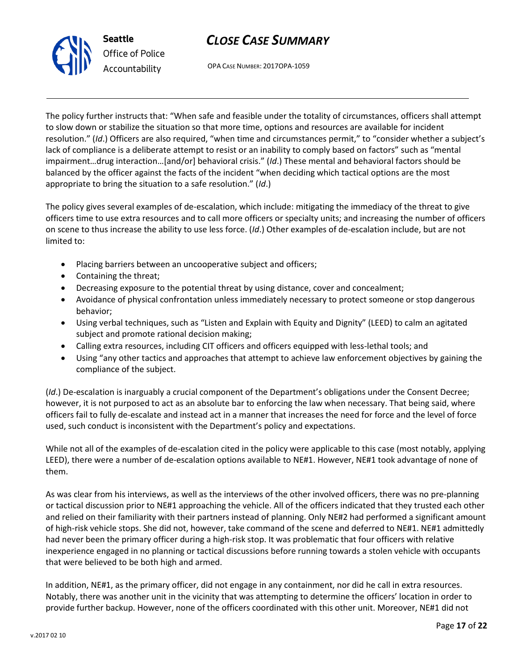

OPA CASE NUMBER: 2017OPA-1059

The policy further instructs that: "When safe and feasible under the totality of circumstances, officers shall attempt to slow down or stabilize the situation so that more time, options and resources are available for incident resolution." (*Id*.) Officers are also required, "when time and circumstances permit," to "consider whether a subject's lack of compliance is a deliberate attempt to resist or an inability to comply based on factors" such as "mental impairment…drug interaction…[and/or] behavioral crisis." (*Id*.) These mental and behavioral factors should be balanced by the officer against the facts of the incident "when deciding which tactical options are the most appropriate to bring the situation to a safe resolution." (*Id*.)

The policy gives several examples of de-escalation, which include: mitigating the immediacy of the threat to give officers time to use extra resources and to call more officers or specialty units; and increasing the number of officers on scene to thus increase the ability to use less force. (*Id*.) Other examples of de-escalation include, but are not limited to:

- Placing barriers between an uncooperative subject and officers;
- Containing the threat;
- Decreasing exposure to the potential threat by using distance, cover and concealment;
- Avoidance of physical confrontation unless immediately necessary to protect someone or stop dangerous behavior;
- Using verbal techniques, such as "Listen and Explain with Equity and Dignity" (LEED) to calm an agitated subject and promote rational decision making;
- Calling extra resources, including CIT officers and officers equipped with less-lethal tools; and
- Using "any other tactics and approaches that attempt to achieve law enforcement objectives by gaining the compliance of the subject.

(*Id*.) De-escalation is inarguably a crucial component of the Department's obligations under the Consent Decree; however, it is not purposed to act as an absolute bar to enforcing the law when necessary. That being said, where officers fail to fully de-escalate and instead act in a manner that increases the need for force and the level of force used, such conduct is inconsistent with the Department's policy and expectations.

While not all of the examples of de-escalation cited in the policy were applicable to this case (most notably, applying LEED), there were a number of de-escalation options available to NE#1. However, NE#1 took advantage of none of them.

As was clear from his interviews, as well as the interviews of the other involved officers, there was no pre-planning or tactical discussion prior to NE#1 approaching the vehicle. All of the officers indicated that they trusted each other and relied on their familiarity with their partners instead of planning. Only NE#2 had performed a significant amount of high-risk vehicle stops. She did not, however, take command of the scene and deferred to NE#1. NE#1 admittedly had never been the primary officer during a high-risk stop. It was problematic that four officers with relative inexperience engaged in no planning or tactical discussions before running towards a stolen vehicle with occupants that were believed to be both high and armed.

In addition, NE#1, as the primary officer, did not engage in any containment, nor did he call in extra resources. Notably, there was another unit in the vicinity that was attempting to determine the officers' location in order to provide further backup. However, none of the officers coordinated with this other unit. Moreover, NE#1 did not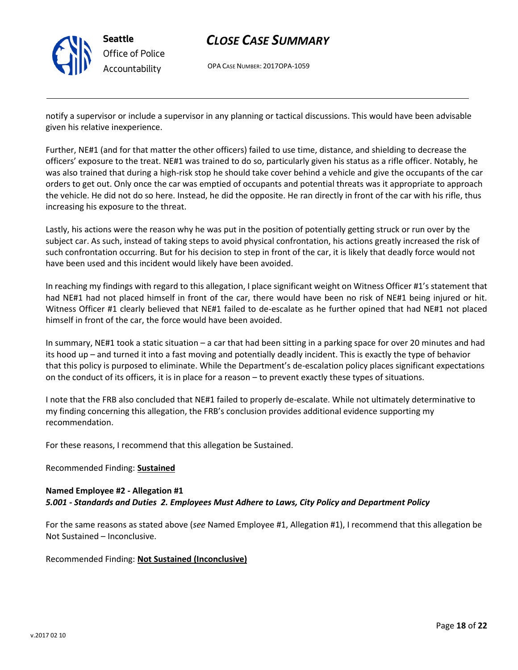

OPA CASE NUMBER: 2017OPA-1059

notify a supervisor or include a supervisor in any planning or tactical discussions. This would have been advisable given his relative inexperience.

Further, NE#1 (and for that matter the other officers) failed to use time, distance, and shielding to decrease the officers' exposure to the treat. NE#1 was trained to do so, particularly given his status as a rifle officer. Notably, he was also trained that during a high-risk stop he should take cover behind a vehicle and give the occupants of the car orders to get out. Only once the car was emptied of occupants and potential threats was it appropriate to approach the vehicle. He did not do so here. Instead, he did the opposite. He ran directly in front of the car with his rifle, thus increasing his exposure to the threat.

Lastly, his actions were the reason why he was put in the position of potentially getting struck or run over by the subject car. As such, instead of taking steps to avoid physical confrontation, his actions greatly increased the risk of such confrontation occurring. But for his decision to step in front of the car, it is likely that deadly force would not have been used and this incident would likely have been avoided.

In reaching my findings with regard to this allegation, I place significant weight on Witness Officer #1's statement that had NE#1 had not placed himself in front of the car, there would have been no risk of NE#1 being injured or hit. Witness Officer #1 clearly believed that NE#1 failed to de-escalate as he further opined that had NE#1 not placed himself in front of the car, the force would have been avoided.

In summary, NE#1 took a static situation – a car that had been sitting in a parking space for over 20 minutes and had its hood up – and turned it into a fast moving and potentially deadly incident. This is exactly the type of behavior that this policy is purposed to eliminate. While the Department's de-escalation policy places significant expectations on the conduct of its officers, it is in place for a reason – to prevent exactly these types of situations.

I note that the FRB also concluded that NE#1 failed to properly de-escalate. While not ultimately determinative to my finding concerning this allegation, the FRB's conclusion provides additional evidence supporting my recommendation.

For these reasons, I recommend that this allegation be Sustained.

Recommended Finding: **Sustained**

#### **Named Employee #2 - Allegation #1** *5.001 - Standards and Duties 2. Employees Must Adhere to Laws, City Policy and Department Policy*

For the same reasons as stated above (*see* Named Employee #1, Allegation #1), I recommend that this allegation be Not Sustained – Inconclusive.

Recommended Finding: **Not Sustained (Inconclusive)**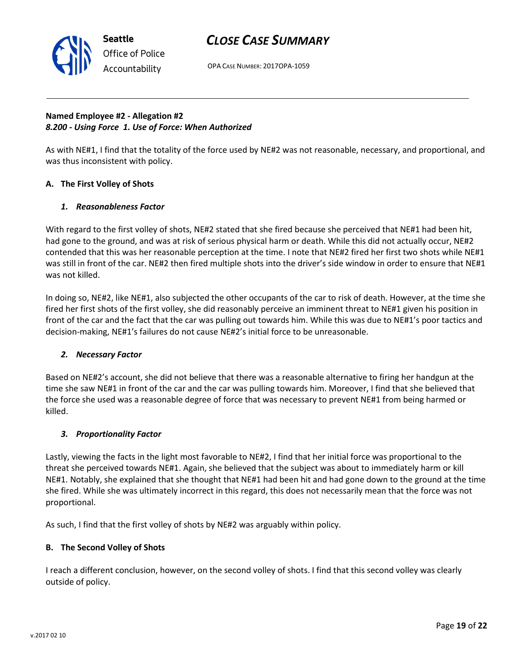

OPA CASE NUMBER: 2017OPA-1059

### **Named Employee #2 - Allegation #2** *8.200 - Using Force 1. Use of Force: When Authorized*

As with NE#1, I find that the totality of the force used by NE#2 was not reasonable, necessary, and proportional, and was thus inconsistent with policy.

### **A. The First Volley of Shots**

### *1. Reasonableness Factor*

With regard to the first volley of shots, NE#2 stated that she fired because she perceived that NE#1 had been hit, had gone to the ground, and was at risk of serious physical harm or death. While this did not actually occur, NE#2 contended that this was her reasonable perception at the time. I note that NE#2 fired her first two shots while NE#1 was still in front of the car. NE#2 then fired multiple shots into the driver's side window in order to ensure that NE#1 was not killed.

In doing so, NE#2, like NE#1, also subjected the other occupants of the car to risk of death. However, at the time she fired her first shots of the first volley, she did reasonably perceive an imminent threat to NE#1 given his position in front of the car and the fact that the car was pulling out towards him. While this was due to NE#1's poor tactics and decision-making, NE#1's failures do not cause NE#2's initial force to be unreasonable.

### *2. Necessary Factor*

Based on NE#2's account, she did not believe that there was a reasonable alternative to firing her handgun at the time she saw NE#1 in front of the car and the car was pulling towards him. Moreover, I find that she believed that the force she used was a reasonable degree of force that was necessary to prevent NE#1 from being harmed or killed.

### *3. Proportionality Factor*

Lastly, viewing the facts in the light most favorable to NE#2, I find that her initial force was proportional to the threat she perceived towards NE#1. Again, she believed that the subject was about to immediately harm or kill NE#1. Notably, she explained that she thought that NE#1 had been hit and had gone down to the ground at the time she fired. While she was ultimately incorrect in this regard, this does not necessarily mean that the force was not proportional.

As such, I find that the first volley of shots by NE#2 was arguably within policy.

### **B. The Second Volley of Shots**

I reach a different conclusion, however, on the second volley of shots. I find that this second volley was clearly outside of policy.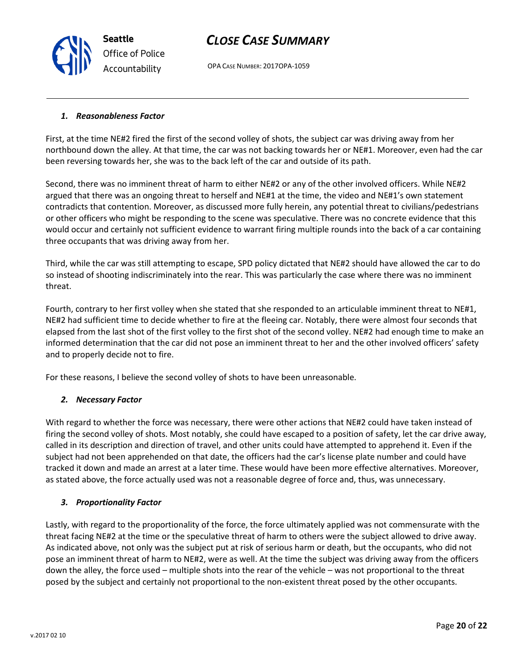OPA CASE NUMBER: 2017OPA-1059

## *1. Reasonableness Factor*

First, at the time NE#2 fired the first of the second volley of shots, the subject car was driving away from her northbound down the alley. At that time, the car was not backing towards her or NE#1. Moreover, even had the car been reversing towards her, she was to the back left of the car and outside of its path.

Second, there was no imminent threat of harm to either NE#2 or any of the other involved officers. While NE#2 argued that there was an ongoing threat to herself and NE#1 at the time, the video and NE#1's own statement contradicts that contention. Moreover, as discussed more fully herein, any potential threat to civilians/pedestrians or other officers who might be responding to the scene was speculative. There was no concrete evidence that this would occur and certainly not sufficient evidence to warrant firing multiple rounds into the back of a car containing three occupants that was driving away from her.

Third, while the car was still attempting to escape, SPD policy dictated that NE#2 should have allowed the car to do so instead of shooting indiscriminately into the rear. This was particularly the case where there was no imminent threat.

Fourth, contrary to her first volley when she stated that she responded to an articulable imminent threat to NE#1, NE#2 had sufficient time to decide whether to fire at the fleeing car. Notably, there were almost four seconds that elapsed from the last shot of the first volley to the first shot of the second volley. NE#2 had enough time to make an informed determination that the car did not pose an imminent threat to her and the other involved officers' safety and to properly decide not to fire.

For these reasons, I believe the second volley of shots to have been unreasonable.

## *2. Necessary Factor*

With regard to whether the force was necessary, there were other actions that NE#2 could have taken instead of firing the second volley of shots. Most notably, she could have escaped to a position of safety, let the car drive away, called in its description and direction of travel, and other units could have attempted to apprehend it. Even if the subject had not been apprehended on that date, the officers had the car's license plate number and could have tracked it down and made an arrest at a later time. These would have been more effective alternatives. Moreover, as stated above, the force actually used was not a reasonable degree of force and, thus, was unnecessary.

## *3. Proportionality Factor*

Lastly, with regard to the proportionality of the force, the force ultimately applied was not commensurate with the threat facing NE#2 at the time or the speculative threat of harm to others were the subject allowed to drive away. As indicated above, not only was the subject put at risk of serious harm or death, but the occupants, who did not pose an imminent threat of harm to NE#2, were as well. At the time the subject was driving away from the officers down the alley, the force used – multiple shots into the rear of the vehicle – was not proportional to the threat posed by the subject and certainly not proportional to the non-existent threat posed by the other occupants.



**Seattle** *Office of Police Accountability*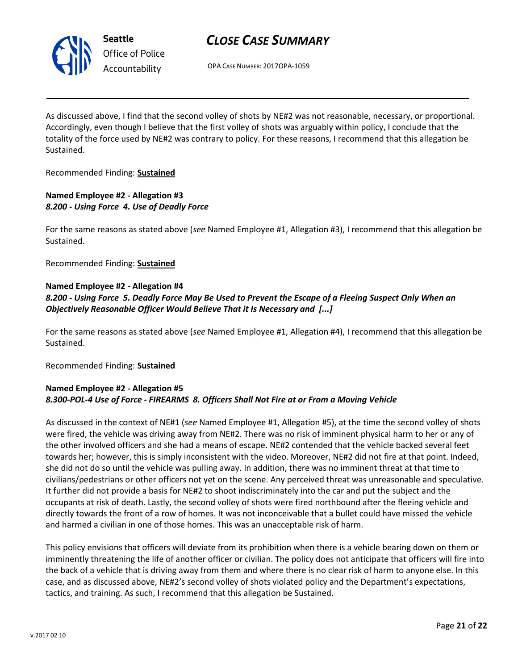

**Seattle** *Office of Police Accountability*

# *CLOSE CASE SUMMARY*

OPA CASE NUMBER: 2017OPA-1059

As discussed above, I find that the second volley of shots by NE#2 was not reasonable, necessary, or proportional. Accordingly, even though I believe that the first volley of shots was arguably within policy, I conclude that the totality of the force used by NE#2 was contrary to policy. For these reasons, I recommend that this allegation be Sustained.

Recommended Finding: **Sustained**

### **Named Employee #2 - Allegation #3** *8.200 - Using Force 4. Use of Deadly Force*

For the same reasons as stated above (*see* Named Employee #1, Allegation #3), I recommend that this allegation be Sustained.

Recommended Finding: **Sustained**

### **Named Employee #2 - Allegation #4**

### *8.200 - Using Force 5. Deadly Force May Be Used to Prevent the Escape of a Fleeing Suspect Only When an Objectively Reasonable Officer Would Believe That it Is Necessary and [...]*

For the same reasons as stated above (*see* Named Employee #1, Allegation #4), I recommend that this allegation be Sustained.

Recommended Finding: **Sustained**

### **Named Employee #2 - Allegation #5** *8.300-POL-4 Use of Force - FIREARMS 8. Officers Shall Not Fire at or From a Moving Vehicle*

As discussed in the context of NE#1 (*see* Named Employee #1, Allegation #5), at the time the second volley of shots were fired, the vehicle was driving away from NE#2. There was no risk of imminent physical harm to her or any of the other involved officers and she had a means of escape. NE#2 contended that the vehicle backed several feet towards her; however, this is simply inconsistent with the video. Moreover, NE#2 did not fire at that point. Indeed, she did not do so until the vehicle was pulling away. In addition, there was no imminent threat at that time to civilians/pedestrians or other officers not yet on the scene. Any perceived threat was unreasonable and speculative. It further did not provide a basis for NE#2 to shoot indiscriminately into the car and put the subject and the occupants at risk of death. Lastly, the second volley of shots were fired northbound after the fleeing vehicle and directly towards the front of a row of homes. It was not inconceivable that a bullet could have missed the vehicle and harmed a civilian in one of those homes. This was an unacceptable risk of harm.

This policy envisions that officers will deviate from its prohibition when there is a vehicle bearing down on them or imminently threatening the life of another officer or civilian. The policy does not anticipate that officers will fire into the back of a vehicle that is driving away from them and where there is no clear risk of harm to anyone else. In this case, and as discussed above, NE#2's second volley of shots violated policy and the Department's expectations, tactics, and training. As such, I recommend that this allegation be Sustained.